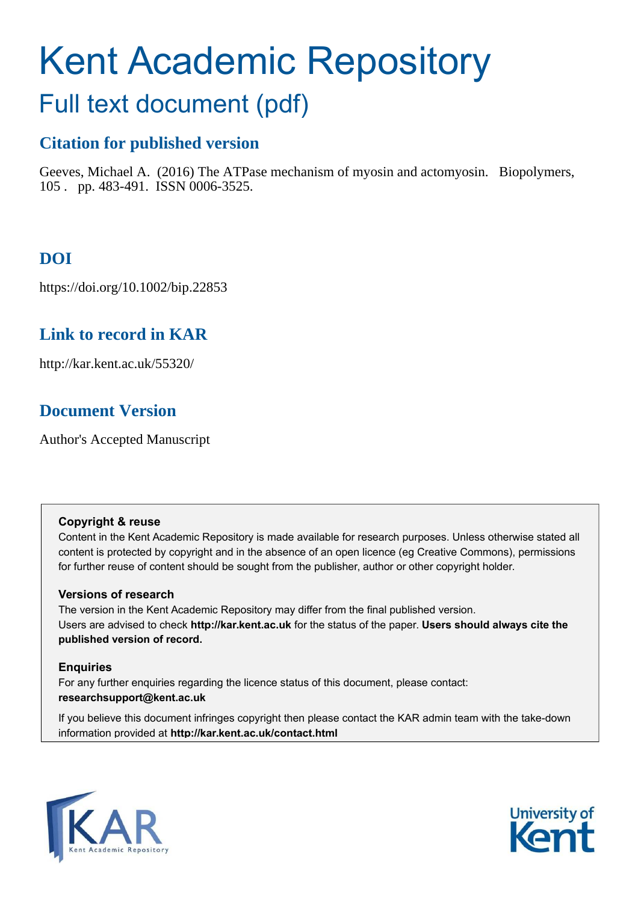# Kent Academic Repository Full text document (pdf)

# **Citation for published version**

Geeves, Michael A. (2016) The ATPase mechanism of myosin and actomyosin. Biopolymers, 105 . pp. 483-491. ISSN 0006-3525.

# **DOI**

https://doi.org/10.1002/bip.22853

# **Link to record in KAR**

http://kar.kent.ac.uk/55320/

# **Document Version**

Author's Accepted Manuscript

## **Copyright & reuse**

Content in the Kent Academic Repository is made available for research purposes. Unless otherwise stated all content is protected by copyright and in the absence of an open licence (eg Creative Commons), permissions for further reuse of content should be sought from the publisher, author or other copyright holder.

## **Versions of research**

The version in the Kent Academic Repository may differ from the final published version. Users are advised to check **http://kar.kent.ac.uk** for the status of the paper. **Users should always cite the published version of record.**

## **Enquiries**

For any further enquiries regarding the licence status of this document, please contact: **researchsupport@kent.ac.uk**

If you believe this document infringes copyright then please contact the KAR admin team with the take-down information provided at **http://kar.kent.ac.uk/contact.html**



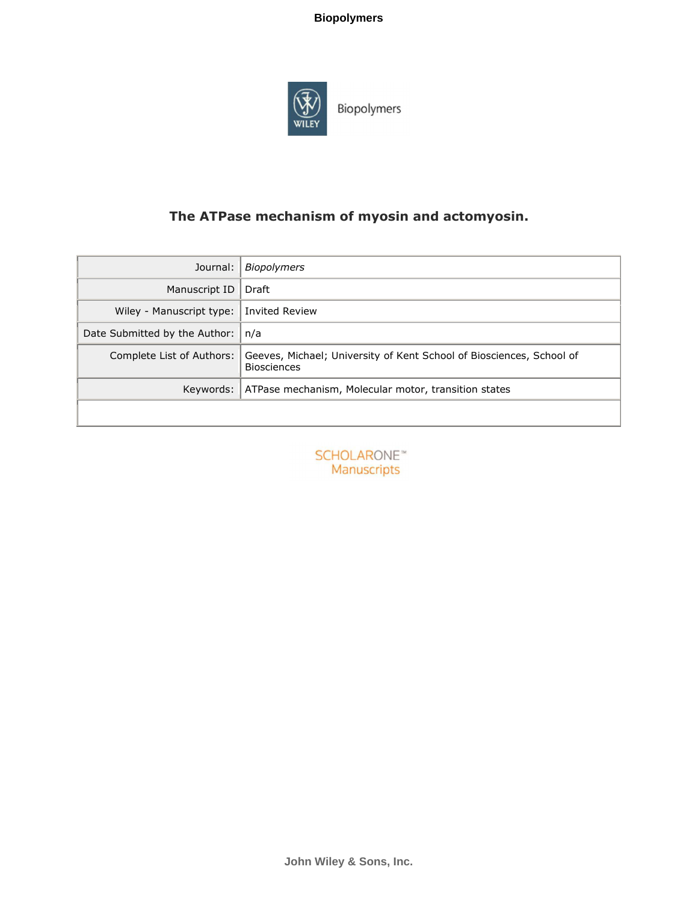

Biopolymers

# The ATPase mechanism of myosin and actomyosin.

| Journal:                      | Biopolymers                                                                                |
|-------------------------------|--------------------------------------------------------------------------------------------|
| Manuscript ID                 | Draft                                                                                      |
| Wiley - Manuscript type:      | <b>Invited Review</b>                                                                      |
| Date Submitted by the Author: | n/a                                                                                        |
| Complete List of Authors:     | Geeves, Michael; University of Kent School of Biosciences, School of<br><b>Biosciences</b> |
| Keywords:                     | ATPase mechanism, Molecular motor, transition states                                       |
|                               |                                                                                            |

**SCHOLARONE™** Manuscripts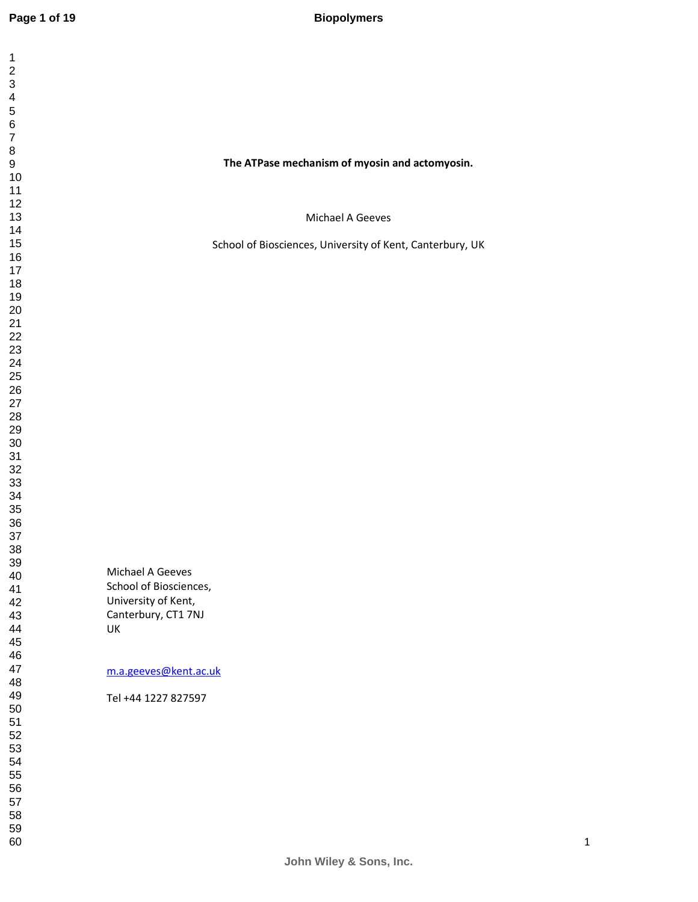| 1                                |  |  |
|----------------------------------|--|--|
| $\overline{\mathbf{c}}$          |  |  |
|                                  |  |  |
|                                  |  |  |
|                                  |  |  |
| 3456789                          |  |  |
| 10                               |  |  |
| 11                               |  |  |
| 12<br>13                         |  |  |
| 14                               |  |  |
| 15<br>16                         |  |  |
| 17                               |  |  |
| 18<br>19                         |  |  |
| <b>20</b>                        |  |  |
| $\overline{21}$                  |  |  |
|                                  |  |  |
|                                  |  |  |
| 22<br>23<br>24<br>25<br>26<br>27 |  |  |
| $\frac{28}{1}$                   |  |  |
| 29                               |  |  |
| 30<br>31                         |  |  |
| 32                               |  |  |
| 33<br>34                         |  |  |
| 35                               |  |  |
| 36<br>37                         |  |  |
| 38                               |  |  |
| 39<br>40                         |  |  |
| 41                               |  |  |
| 42<br>43                         |  |  |
| 44                               |  |  |
| 45<br>46                         |  |  |
| 47                               |  |  |
| 48                               |  |  |
| 49<br>50                         |  |  |
| 51                               |  |  |
| 52<br>53                         |  |  |
| 54                               |  |  |
| 55<br>56                         |  |  |
| 57                               |  |  |
| 58<br>59                         |  |  |
| 60                               |  |  |

## **The ATPase mechanism of myosin and actomyosin.**

Michael A Geeves

School of Biosciences, University of Kent, Canterbury, UK

Michael A Geeves School of Biosciences, University of Kent, Canterbury, CT1 7NJ UK

#### m.a.geeves@kent.ac.uk

Tel +44 1227 827597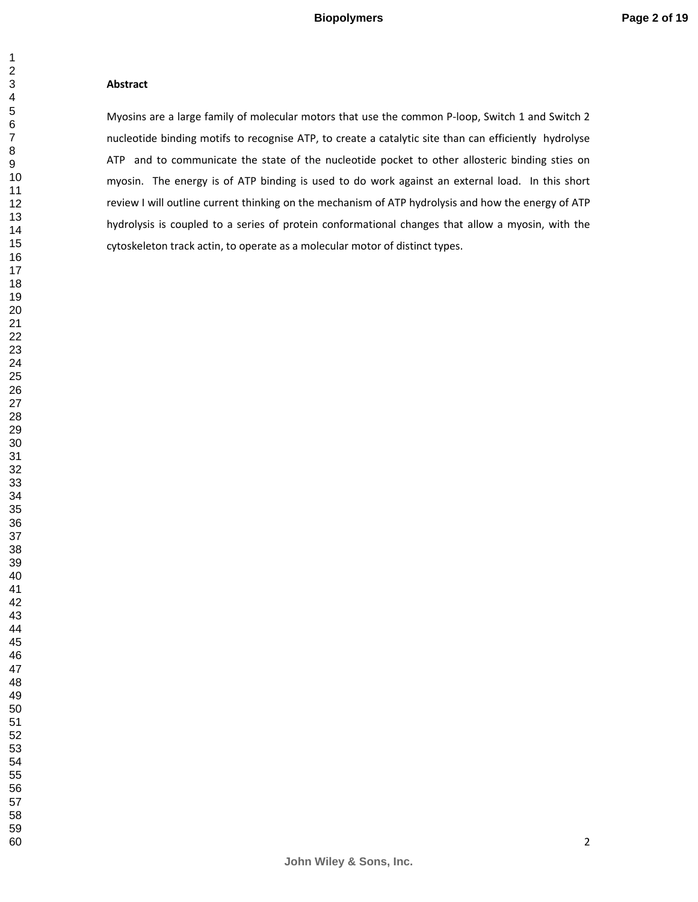#### **Abstract**

Myosins are a large family of molecular motors that use the common P-loop, Switch 1 and Switch 2 nucleotide binding motifs to recognise ATP, to create a catalytic site than can efficiently hydrolyse ATP and to communicate the state of the nucleotide pocket to other allosteric binding sties on myosin. The energy is of ATP binding is used to do work against an external load. In this short review I will outline current thinking on the mechanism of ATP hydrolysis and how the energy of ATP hydrolysis is coupled to a series of protein conformational changes that allow a myosin, with the cytoskeleton track actin, to operate as a molecular motor of distinct types.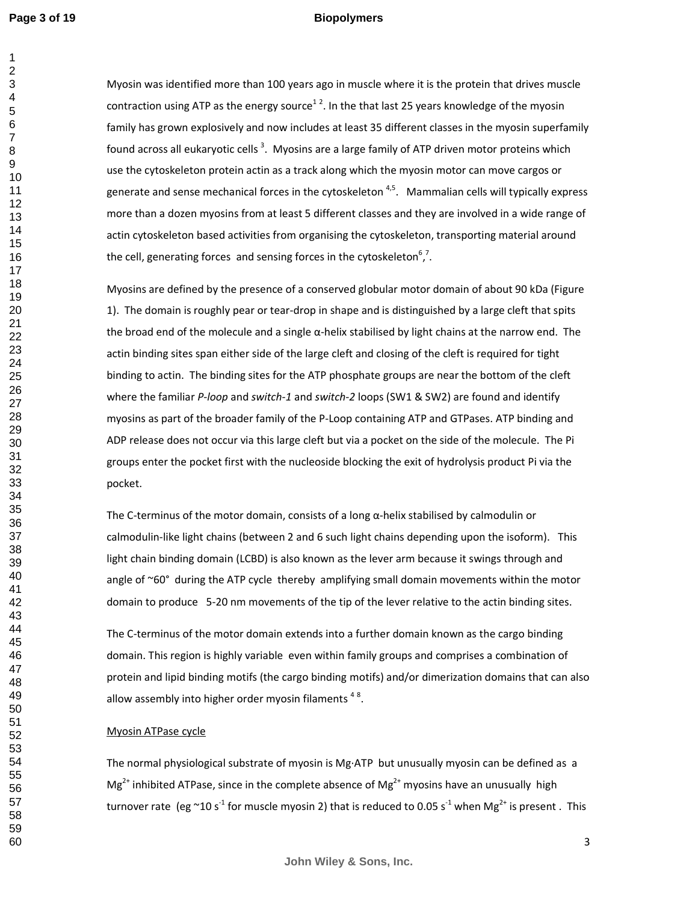#### **Biopolymers**

Myosin was identified more than 100 years ago in muscle where it is the protein that drives muscle contraction using ATP as the energy source<sup>12</sup>. In the that last 25 years knowledge of the myosin family has grown explosively and now includes at least 35 different classes in the myosin superfamily found across all eukaryotic cells  $^3$ . Myosins are a large family of ATP driven motor proteins which use the cytoskeleton protein actin as a track along which the myosin motor can move cargos or generate and sense mechanical forces in the cytoskeleton  $4,5$ . Mammalian cells will typically express more than a dozen myosins from at least 5 different classes and they are involved in a wide range of actin cytoskeleton based activities from organising the cytoskeleton, transporting material around the cell, generating forces and sensing forces in the cytoskeleton<sup>6</sup>,<sup>7</sup>.

Myosins are defined by the presence of a conserved globular motor domain of about 90 kDa (Figure 1). The domain is roughly pear or tear-drop in shape and is distinguished by a large cleft that spits the broad end of the molecule and a single  $\alpha$ -helix stabilised by light chains at the narrow end. The actin binding sites span either side of the large cleft and closing of the cleft is required for tight binding to actin. The binding sites for the ATP phosphate groups are near the bottom of the cleft where the familiar *P-loop* and *switch-1* and *switch-2* loops (SW1 & SW2) are found and identify myosins as part of the broader family of the P-Loop containing ATP and GTPases. ATP binding and ADP release does not occur via this large cleft but via a pocket on the side of the molecule. The Pi groups enter the pocket first with the nucleoside blocking the exit of hydrolysis product Pi via the pocket.

The C-terminus of the motor domain, consists of a long α-helix stabilised by calmodulin or calmodulin-like light chains (between 2 and 6 such light chains depending upon the isoform). This light chain binding domain (LCBD) is also known as the lever arm because it swings through and angle of ~60° during the ATP cycle thereby amplifying small domain movements within the motor domain to produce 5-20 nm movements of the tip of the lever relative to the actin binding sites.

The C-terminus of the motor domain extends into a further domain known as the cargo binding domain. This region is highly variable even within family groups and comprises a combination of protein and lipid binding motifs (the cargo binding motifs) and/or dimerization domains that can also allow assembly into higher order myosin filaments  $48$ .

#### Myosin ATPase cycle

The normal physiological substrate of myosin is Mg·ATP but unusually myosin can be defined as a  $Mg^{2+}$  inhibited ATPase, since in the complete absence of  $Mg^{2+}$  myosins have an unusually high turnover rate (eg ~10 s<sup>-1</sup> for muscle myosin 2) that is reduced to 0.05 s<sup>-1</sup> when Mg<sup>2+</sup> is present . This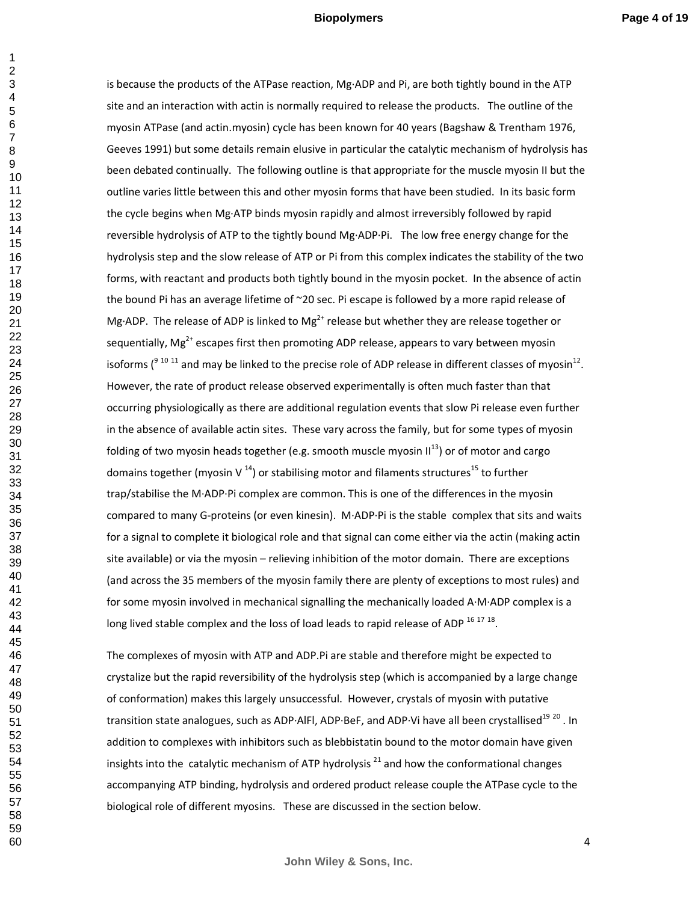is because the products of the ATPase reaction, Mg·ADP and Pi, are both tightly bound in the ATP site and an interaction with actin is normally required to release the products. The outline of the myosin ATPase (and actin.myosin) cycle has been known for 40 years (Bagshaw & Trentham 1976, Geeves 1991) but some details remain elusive in particular the catalytic mechanism of hydrolysis has been debated continually. The following outline is that appropriate for the muscle myosin II but the outline varies little between this and other myosin forms that have been studied. In its basic form the cycle begins when Mg·ATP binds myosin rapidly and almost irreversibly followed by rapid reversible hydrolysis of ATP to the tightly bound Mg·ADP·Pi. The low free energy change for the hydrolysis step and the slow release of ATP or Pi from this complex indicates the stability of the two forms, with reactant and products both tightly bound in the myosin pocket. In the absence of actin the bound Pi has an average lifetime of ~20 sec. Pi escape is followed by a more rapid release of Mg·ADP. The release of ADP is linked to Mg<sup>2+</sup> release but whether they are release together or sequentially,  $Mg^{2+}$  escapes first then promoting ADP release, appears to vary between myosin isoforms ( $9^{10}$  11 and may be linked to the precise role of ADP release in different classes of myosin<sup>12</sup>. However, the rate of product release observed experimentally is often much faster than that occurring physiologically as there are additional regulation events that slow Pi release even further in the absence of available actin sites. These vary across the family, but for some types of myosin folding of two myosin heads together (e.g. smooth muscle myosin  $II^{13}$ ) or of motor and cargo domains together (myosin V  $^{14}$ ) or stabilising motor and filaments structures<sup>15</sup> to further trap/stabilise the M·ADP·Pi complex are common. This is one of the differences in the myosin compared to many G-proteins (or even kinesin). M·ADP·Pi is the stable complex that sits and waits for a signal to complete it biological role and that signal can come either via the actin (making actin site available) or via the myosin – relieving inhibition of the motor domain. There are exceptions (and across the 35 members of the myosin family there are plenty of exceptions to most rules) and for some myosin involved in mechanical signalling the mechanically loaded A·M·ADP complex is a long lived stable complex and the loss of load leads to rapid release of ADP  $^{16}$   $^{17}$   $^{18}$ .

The complexes of myosin with ATP and ADP.Pi are stable and therefore might be expected to crystalize but the rapid reversibility of the hydrolysis step (which is accompanied by a large change of conformation) makes this largely unsuccessful. However, crystals of myosin with putative transition state analogues, such as ADP·AIFI, ADP·BeF, and ADP·Vi have all been crystallised<sup>19 20</sup>. In addition to complexes with inhibitors such as blebbistatin bound to the motor domain have given insights into the catalytic mechanism of ATP hydrolysis  $^{21}$  and how the conformational changes accompanying ATP binding, hydrolysis and ordered product release couple the ATPase cycle to the biological role of different myosins. These are discussed in the section below.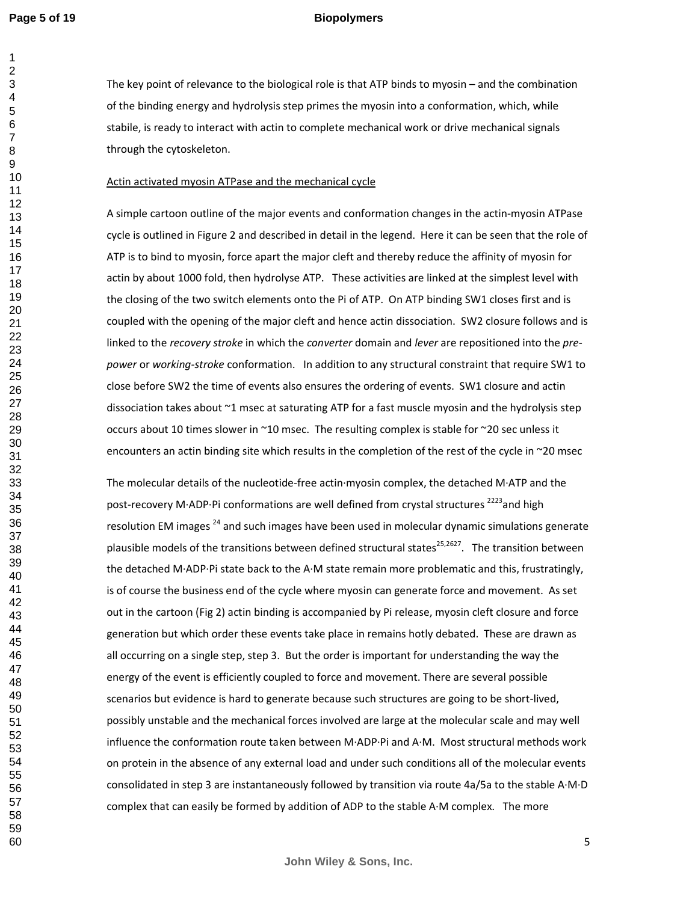#### **Biopolymers**

The key point of relevance to the biological role is that ATP binds to myosin – and the combination of the binding energy and hydrolysis step primes the myosin into a conformation, which, while stabile, is ready to interact with actin to complete mechanical work or drive mechanical signals through the cytoskeleton.

#### Actin activated myosin ATPase and the mechanical cycle

A simple cartoon outline of the major events and conformation changes in the actin-myosin ATPase cycle is outlined in Figure 2 and described in detail in the legend. Here it can be seen that the role of ATP is to bind to myosin, force apart the major cleft and thereby reduce the affinity of myosin for actin by about 1000 fold, then hydrolyse ATP. These activities are linked at the simplest level with the closing of the two switch elements onto the Pi of ATP. On ATP binding SW1 closes first and is coupled with the opening of the major cleft and hence actin dissociation. SW2 closure follows and is linked to the *recovery stroke* in which the *converter* domain and *lever* are repositioned into the *prepower* or *working-stroke* conformation. In addition to any structural constraint that require SW1 to close before SW2 the time of events also ensures the ordering of events. SW1 closure and actin dissociation takes about ~1 msec at saturating ATP for a fast muscle myosin and the hydrolysis step occurs about 10 times slower in ~10 msec. The resulting complex is stable for ~20 sec unless it encounters an actin binding site which results in the completion of the rest of the cycle in ~20 msec

The molecular details of the nucleotide-free actin·myosin complex, the detached M·ATP and the post-recovery M·ADP·Pi conformations are well defined from crystal structures<sup>2223</sup>and high resolution EM images<sup>24</sup> and such images have been used in molecular dynamic simulations generate plausible models of the transitions between defined structural states<sup>25,2627</sup>. The transition between the detached M·ADP·Pi state back to the A·M state remain more problematic and this, frustratingly, is of course the business end of the cycle where myosin can generate force and movement. As set out in the cartoon (Fig 2) actin binding is accompanied by Pi release, myosin cleft closure and force generation but which order these events take place in remains hotly debated. These are drawn as all occurring on a single step, step 3. But the order is important for understanding the way the energy of the event is efficiently coupled to force and movement. There are several possible scenarios but evidence is hard to generate because such structures are going to be short-lived, possibly unstable and the mechanical forces involved are large at the molecular scale and may well influence the conformation route taken between M·ADP·Pi and A·M. Most structural methods work on protein in the absence of any external load and under such conditions all of the molecular events consolidated in step 3 are instantaneously followed by transition via route 4a/5a to the stable A·M·D complex that can easily be formed by addition of ADP to the stable A·M complex. The more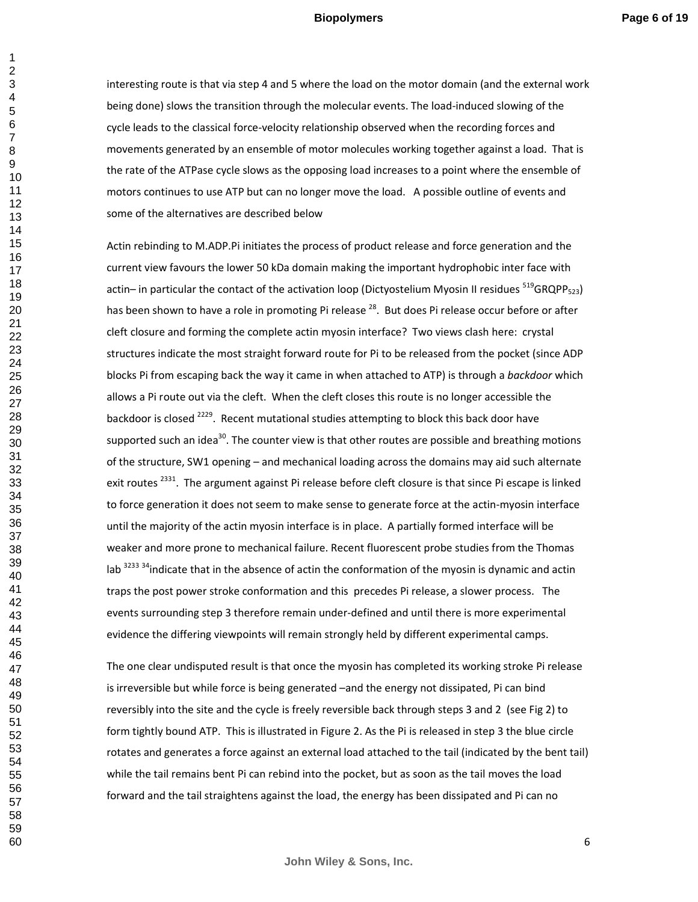interesting route is that via step 4 and 5 where the load on the motor domain (and the external work being done) slows the transition through the molecular events. The load-induced slowing of the cycle leads to the classical force-velocity relationship observed when the recording forces and movements generated by an ensemble of motor molecules working together against a load. That is the rate of the ATPase cycle slows as the opposing load increases to a point where the ensemble of motors continues to use ATP but can no longer move the load. A possible outline of events and some of the alternatives are described below

Actin rebinding to M.ADP.Pi initiates the process of product release and force generation and the current view favours the lower 50 kDa domain making the important hydrophobic inter face with actin– in particular the contact of the activation loop (Dictyostelium Myosin II residues  $519GRQPP_{523}$ ) has been shown to have a role in promoting Pi release <sup>28</sup>. But does Pi release occur before or after cleft closure and forming the complete actin myosin interface? Two views clash here: crystal structures indicate the most straight forward route for Pi to be released from the pocket (since ADP blocks Pi from escaping back the way it came in when attached to ATP) is through a *backdoor* which allows a Pi route out via the cleft. When the cleft closes this route is no longer accessible the backdoor is closed <sup>2229</sup>. Recent mutational studies attempting to block this back door have supported such an idea<sup>30</sup>. The counter view is that other routes are possible and breathing motions of the structure, SW1 opening – and mechanical loading across the domains may aid such alternate exit routes<sup>2331</sup>. The argument against Pi release before cleft closure is that since Pi escape is linked to force generation it does not seem to make sense to generate force at the actin-myosin interface until the majority of the actin myosin interface is in place. A partially formed interface will be weaker and more prone to mechanical failure. Recent fluorescent probe studies from the Thomas lab  $^{3233}$   $^{34}$ indicate that in the absence of actin the conformation of the myosin is dynamic and actin traps the post power stroke conformation and this precedes Pi release, a slower process. The events surrounding step 3 therefore remain under-defined and until there is more experimental evidence the differing viewpoints will remain strongly held by different experimental camps.

The one clear undisputed result is that once the myosin has completed its working stroke Pi release is irreversible but while force is being generated –and the energy not dissipated, Pi can bind reversibly into the site and the cycle is freely reversible back through steps 3 and 2 (see Fig 2) to form tightly bound ATP. This is illustrated in Figure 2. As the Pi is released in step 3 the blue circle rotates and generates a force against an external load attached to the tail (indicated by the bent tail) while the tail remains bent Pi can rebind into the pocket, but as soon as the tail moves the load forward and the tail straightens against the load, the energy has been dissipated and Pi can no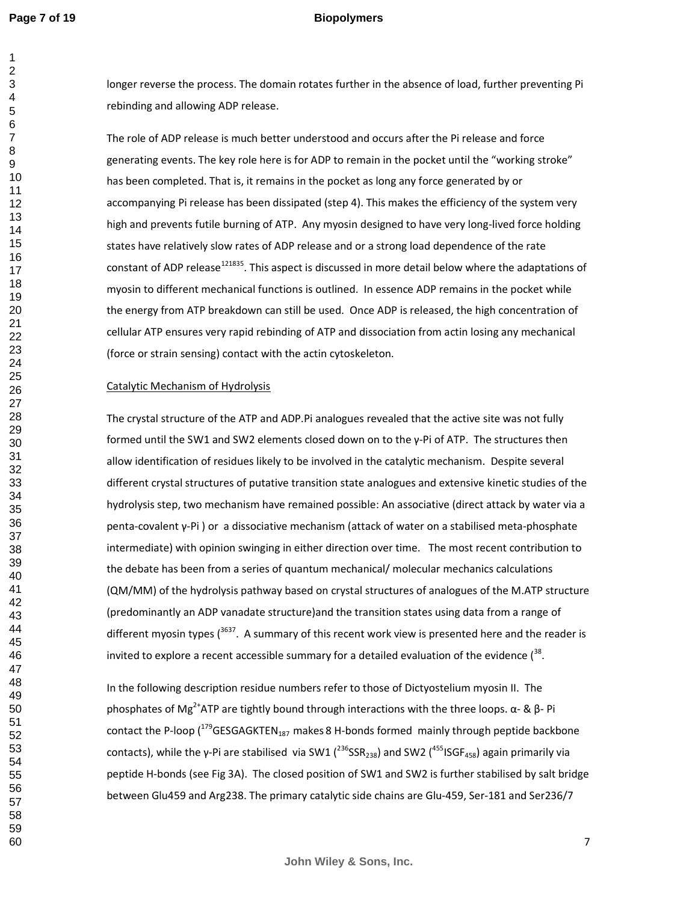longer reverse the process. The domain rotates further in the absence of load, further preventing Pi rebinding and allowing ADP release.

The role of ADP release is much better understood and occurs after the Pi release and force generating events. The key role here is for ADP to remain in the pocket until the "working stroke" has been completed. That is, it remains in the pocket as long any force generated by or accompanying Pi release has been dissipated (step 4). This makes the efficiency of the system very high and prevents futile burning of ATP. Any myosin designed to have very long-lived force holding states have relatively slow rates of ADP release and or a strong load dependence of the rate constant of ADP release<sup>121835</sup>. This aspect is discussed in more detail below where the adaptations of myosin to different mechanical functions is outlined. In essence ADP remains in the pocket while the energy from ATP breakdown can still be used. Once ADP is released, the high concentration of cellular ATP ensures very rapid rebinding of ATP and dissociation from actin losing any mechanical (force or strain sensing) contact with the actin cytoskeleton.

#### Catalytic Mechanism of Hydrolysis

The crystal structure of the ATP and ADP.Pi analogues revealed that the active site was not fully formed until the SW1 and SW2 elements closed down on to the γ-Pi of ATP. The structures then allow identification of residues likely to be involved in the catalytic mechanism. Despite several different crystal structures of putative transition state analogues and extensive kinetic studies of the hydrolysis step, two mechanism have remained possible: An associative (direct attack by water via a penta-covalent γ-Pi ) or a dissociative mechanism (attack of water on a stabilised meta-phosphate intermediate) with opinion swinging in either direction over time. The most recent contribution to the debate has been from a series of quantum mechanical/ molecular mechanics calculations (QM/MM) of the hydrolysis pathway based on crystal structures of analogues of the M.ATP structure (predominantly an ADP vanadate structure)and the transition states using data from a range of different myosin types (. A summary of this recent work view is presented here and the reader is invited to explore a recent accessible summary for a detailed evaluation of the evidence  $(^{38}$ .

In the following description residue numbers refer to those of Dictyostelium myosin II. The phosphates of Mg<sup>2+</sup>ATP are tightly bound through interactions with the three loops. α- & β- Pi contact the P-loop (GESGAGKTEN<sub>187</sub> makes 8 H-bonds formed mainly through peptide backbone contacts), while the γ-Pi are stabilised via SW1 ( $^{236}$ SSR<sub>238</sub>) and SW2 ( $^{455}$ ISGF<sub>458</sub>) again primarily via peptide H-bonds (see Fig 3A). The closed position of SW1 and SW2 is further stabilised by salt bridge between Glu459 and Arg238. The primary catalytic side chains are Glu-459, Ser-181 and Ser236/7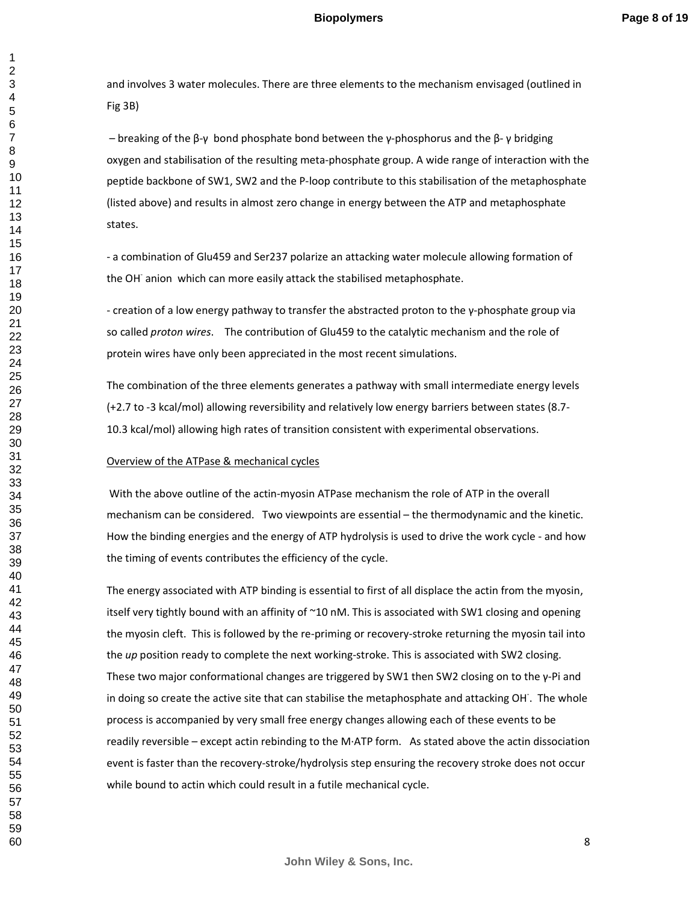and involves 3 water molecules. There are three elements to the mechanism envisaged (outlined in Fig 3B)

 – breaking of the β-γ bond phosphate bond between the γ-phosphorus and the β- γ bridging oxygen and stabilisation of the resulting meta-phosphate group. A wide range of interaction with the peptide backbone of SW1, SW2 and the P-loop contribute to this stabilisation of the metaphosphate (listed above) and results in almost zero change in energy between the ATP and metaphosphate states.

- a combination of Glu459 and Ser237 polarize an attacking water molecule allowing formation of the OH<sup>-</sup> anion which can more easily attack the stabilised metaphosphate.

- creation of a low energy pathway to transfer the abstracted proton to the γ-phosphate group via so called *proton wires*. The contribution of Glu459 to the catalytic mechanism and the role of protein wires have only been appreciated in the most recent simulations.

The combination of the three elements generates a pathway with small intermediate energy levels (+2.7 to -3 kcal/mol) allowing reversibility and relatively low energy barriers between states (8.7- 10.3 kcal/mol) allowing high rates of transition consistent with experimental observations.

#### Overview of the ATPase & mechanical cycles

 With the above outline of the actin-myosin ATPase mechanism the role of ATP in the overall mechanism can be considered. Two viewpoints are essential – the thermodynamic and the kinetic. How the binding energies and the energy of ATP hydrolysis is used to drive the work cycle - and how the timing of events contributes the efficiency of the cycle.

The energy associated with ATP binding is essential to first of all displace the actin from the myosin, itself very tightly bound with an affinity of ~10 nM. This is associated with SW1 closing and opening the myosin cleft. This is followed by the re-priming or recovery-stroke returning the myosin tail into the *up* position ready to complete the next working-stroke. This is associated with SW2 closing. These two major conformational changes are triggered by SW1 then SW2 closing on to the  $\gamma$ -Pi and in doing so create the active site that can stabilise the metaphosphate and attacking OH. The whole process is accompanied by very small free energy changes allowing each of these events to be readily reversible – except actin rebinding to the M·ATP form. As stated above the actin dissociation event is faster than the recovery-stroke/hydrolysis step ensuring the recovery stroke does not occur while bound to actin which could result in a futile mechanical cycle.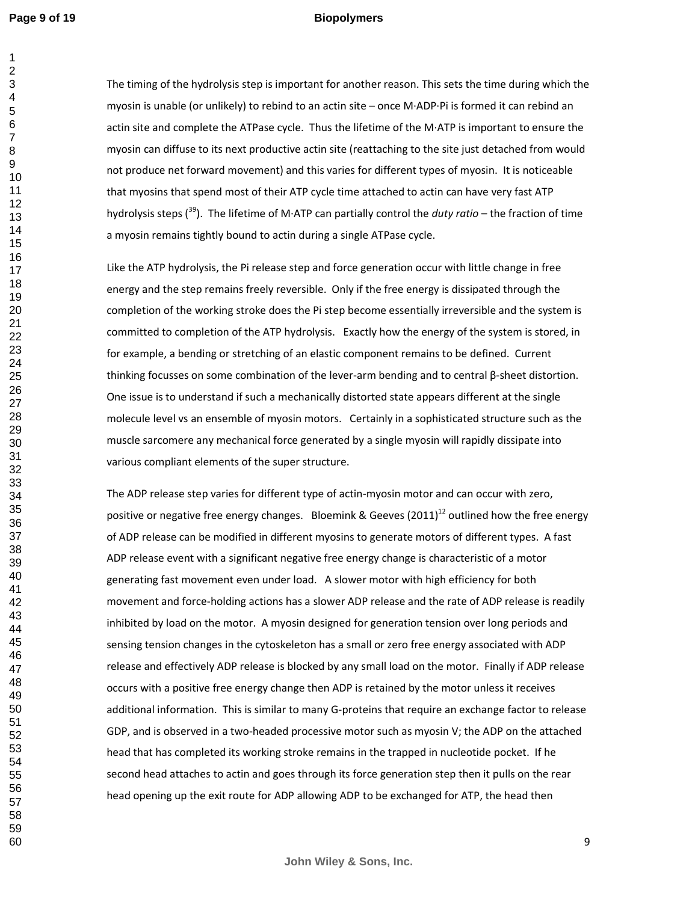#### **Biopolymers**

The timing of the hydrolysis step is important for another reason. This sets the time during which the myosin is unable (or unlikely) to rebind to an actin site – once M·ADP·Pi is formed it can rebind an actin site and complete the ATPase cycle. Thus the lifetime of the M·ATP is important to ensure the myosin can diffuse to its next productive actin site (reattaching to the site just detached from would not produce net forward movement) and this varies for different types of myosin. It is noticeable that myosins that spend most of their ATP cycle time attached to actin can have very fast ATP hydrolysis steps (<sup>39</sup>). The lifetime of M·ATP can partially control the *duty ratio* – the fraction of time a myosin remains tightly bound to actin during a single ATPase cycle.

Like the ATP hydrolysis, the Pi release step and force generation occur with little change in free energy and the step remains freely reversible. Only if the free energy is dissipated through the completion of the working stroke does the Pi step become essentially irreversible and the system is committed to completion of the ATP hydrolysis. Exactly how the energy of the system is stored, in for example, a bending or stretching of an elastic component remains to be defined. Current thinking focusses on some combination of the lever-arm bending and to central β-sheet distortion. One issue is to understand if such a mechanically distorted state appears different at the single molecule level vs an ensemble of myosin motors. Certainly in a sophisticated structure such as the muscle sarcomere any mechanical force generated by a single myosin will rapidly dissipate into various compliant elements of the super structure.

The ADP release step varies for different type of actin-myosin motor and can occur with zero, positive or negative free energy changes. Bloemink & Geeves  $(2011)^{12}$  outlined how the free energy of ADP release can be modified in different myosins to generate motors of different types. A fast ADP release event with a significant negative free energy change is characteristic of a motor generating fast movement even under load. A slower motor with high efficiency for both movement and force-holding actions has a slower ADP release and the rate of ADP release is readily inhibited by load on the motor. A myosin designed for generation tension over long periods and sensing tension changes in the cytoskeleton has a small or zero free energy associated with ADP release and effectively ADP release is blocked by any small load on the motor. Finally if ADP release occurs with a positive free energy change then ADP is retained by the motor unless it receives additional information. This is similar to many G-proteins that require an exchange factor to release GDP, and is observed in a two-headed processive motor such as myosin V; the ADP on the attached head that has completed its working stroke remains in the trapped in nucleotide pocket. If he second head attaches to actin and goes through its force generation step then it pulls on the rear head opening up the exit route for ADP allowing ADP to be exchanged for ATP, the head then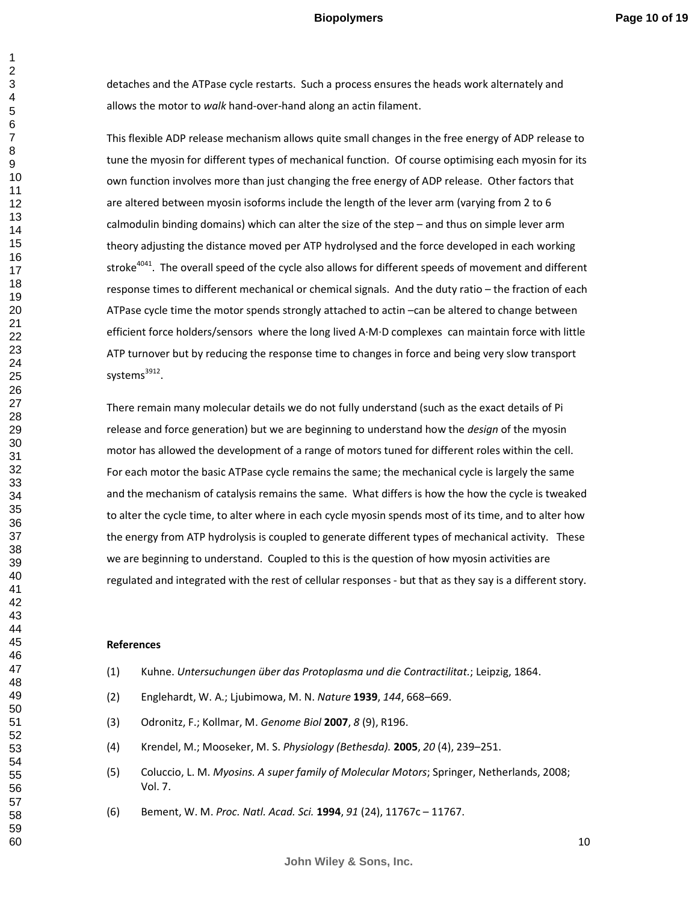detaches and the ATPase cycle restarts. Such a process ensures the heads work alternately and allows the motor to *walk* hand-over-hand along an actin filament.

This flexible ADP release mechanism allows quite small changes in the free energy of ADP release to tune the myosin for different types of mechanical function. Of course optimising each myosin for its own function involves more than just changing the free energy of ADP release. Other factors that are altered between myosin isoforms include the length of the lever arm (varying from 2 to 6 calmodulin binding domains) which can alter the size of the step – and thus on simple lever arm theory adjusting the distance moved per ATP hydrolysed and the force developed in each working stroke<sup>4041</sup>. The overall speed of the cycle also allows for different speeds of movement and different response times to different mechanical or chemical signals. And the duty ratio – the fraction of each ATPase cycle time the motor spends strongly attached to actin –can be altered to change between efficient force holders/sensors where the long lived A·M·D complexes can maintain force with little ATP turnover but by reducing the response time to changes in force and being very slow transport systems<sup>3912</sup>.

There remain many molecular details we do not fully understand (such as the exact details of Pi release and force generation) but we are beginning to understand how the *design* of the myosin motor has allowed the development of a range of motors tuned for different roles within the cell. For each motor the basic ATPase cycle remains the same; the mechanical cycle is largely the same and the mechanism of catalysis remains the same. What differs is how the how the cycle is tweaked to alter the cycle time, to alter where in each cycle myosin spends most of its time, and to alter how the energy from ATP hydrolysis is coupled to generate different types of mechanical activity. These we are beginning to understand. Coupled to this is the question of how myosin activities are regulated and integrated with the rest of cellular responses - but that as they say is a different story.

#### **References**

- (1) Kuhne. *Untersuchungen über das Protoplasma und die Contractilitat.*; Leipzig, 1864.
- (2) Englehardt, W. A.; Ljubimowa, M. N. *Nature* **1939**, *144*, 668–669.
- (3) Odronitz, F.; Kollmar, M. *Genome Biol* **2007**, *8* (9), R196.
- (4) Krendel, M.; Mooseker, M. S. *Physiology (Bethesda).* **2005**, *20* (4), 239–251.
- (5) Coluccio, L. M. *Myosins. A super family of Molecular Motors*; Springer, Netherlands, 2008; Vol. 7.
- (6) Bement, W. M. *Proc. Natl. Acad. Sci.* **1994**, *91* (24), 11767c 11767.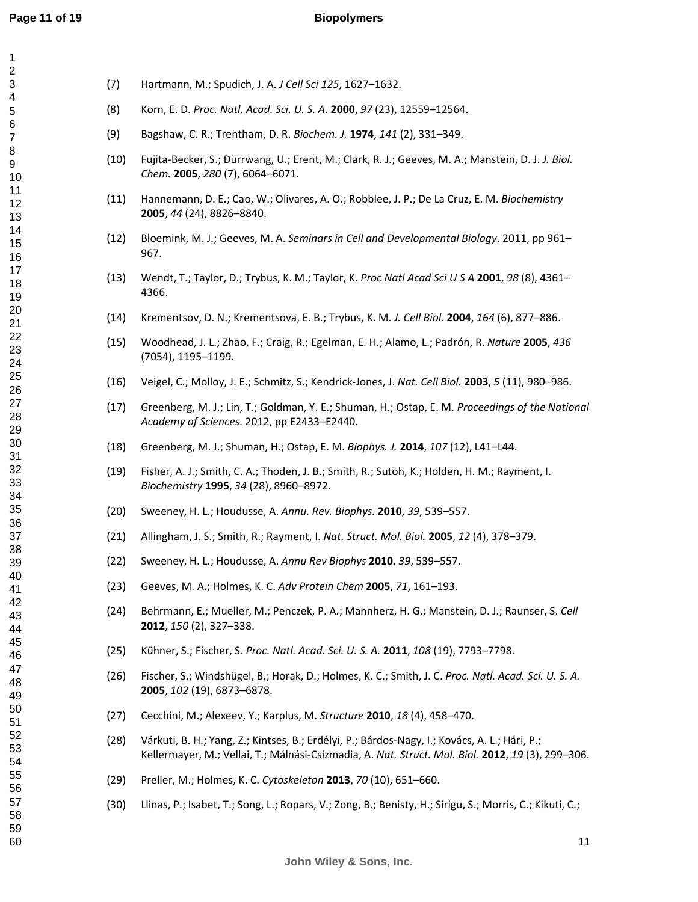#### **Biopolymers**

| 40       |  |
|----------|--|
| 41       |  |
| 42       |  |
| 43       |  |
| 44       |  |
|          |  |
| 45       |  |
| 46       |  |
| 47       |  |
| 48       |  |
| 49       |  |
| 50       |  |
|          |  |
| 5<br>1   |  |
| 52       |  |
| 53<br>Ś  |  |
| 54       |  |
| 55       |  |
| 56       |  |
|          |  |
| 57<br>58 |  |
| ś        |  |
| 59       |  |
| 60       |  |

- (7) Hartmann, M.; Spudich, J. A. *J Cell Sci 125*, 1627–1632.
- (8) Korn, E. D. *Proc. Natl. Acad. Sci. U. S. A.* **2000**, *97* (23), 12559–12564.
- (9) Bagshaw, C. R.; Trentham, D. R. *Biochem. J.* **1974**, *141* (2), 331–349.
- (10) Fujita-Becker, S.; Dürrwang, U.; Erent, M.; Clark, R. J.; Geeves, M. A.; Manstein, D. J. *J. Biol. Chem.* **2005**, *280* (7), 6064–6071.
- (11) Hannemann, D. E.; Cao, W.; Olivares, A. O.; Robblee, J. P.; De La Cruz, E. M. *Biochemistry* , *44* (24), 8826–8840.
- (12) Bloemink, M. J.; Geeves, M. A. *Seminars in Cell and Developmental Biology*. 2011, pp 961– 967.
- (13) Wendt, T.; Taylor, D.; Trybus, K. M.; Taylor, K. *Proc Natl Acad Sci U S A* **2001**, *98* (8), 4361– 4366.
- (14) Krementsov, D. N.; Krementsova, E. B.; Trybus, K. M. *J. Cell Biol.* **2004**, *164* (6), 877–886.
- (15) Woodhead, J. L.; Zhao, F.; Craig, R.; Egelman, E. H.; Alamo, L.; Padrón, R. *Nature* **2005**, *436* (7054), 1195–1199.
- (16) Veigel, C.; Molloy, J. E.; Schmitz, S.; Kendrick-Jones, J. *Nat. Cell Biol.* **2003**, *5* (11), 980–986.
- (17) Greenberg, M. J.; Lin, T.; Goldman, Y. E.; Shuman, H.; Ostap, E. M. *Proceedings of the National Academy of Sciences*. 2012, pp E2433–E2440.
- (18) Greenberg, M. J.; Shuman, H.; Ostap, E. M. *Biophys. J.* **2014**, *107* (12), L41–L44.
- (19) Fisher, A. J.; Smith, C. A.; Thoden, J. B.; Smith, R.; Sutoh, K.; Holden, H. M.; Rayment, I. *Biochemistry* **1995**, *34* (28), 8960–8972.
- (20) Sweeney, H. L.; Houdusse, A. *Annu. Rev. Biophys.* **2010**, *39*, 539–557.
- (21) Allingham, J. S.; Smith, R.; Rayment, I. *Nat. Struct. Mol. Biol.* **2005**, *12* (4), 378–379.
- (22) Sweeney, H. L.; Houdusse, A. *Annu Rev Biophys* **2010**, *39*, 539–557.
- (23) Geeves, M. A.; Holmes, K. C. *Adv Protein Chem* **2005**, *71*, 161–193.
- (24) Behrmann, E.; Mueller, M.; Penczek, P. A.; Mannherz, H. G.; Manstein, D. J.; Raunser, S. *Cell* , *150* (2), 327–338.
- (25) Kühner, S.; Fischer, S. *Proc. Natl. Acad. Sci. U. S. A.* **2011**, *108* (19), 7793–7798.
- (26) Fischer, S.; Windshügel, B.; Horak, D.; Holmes, K. C.; Smith, J. C. *Proc. Natl. Acad. Sci. U. S. A.* , *102* (19), 6873–6878.
- (27) Cecchini, M.; Alexeev, Y.; Karplus, M. *Structure* **2010**, *18* (4), 458–470.
- (28) Várkuti, B. H.; Yang, Z.; Kintses, B.; Erdélyi, P.; Bárdos-Nagy, I.; Kovács, A. L.; Hári, P.; Kellermayer, M.; Vellai, T.; Málnási-Csizmadia, A. *Nat. Struct. Mol. Biol.* **2012**, *19* (3), 299–306.
- (29) Preller, M.; Holmes, K. C. *Cytoskeleton* **2013**, *70* (10), 651–660.
- (30) Llinas, P.; Isabet, T.; Song, L.; Ropars, V.; Zong, B.; Benisty, H.; Sirigu, S.; Morris, C.; Kikuti, C.;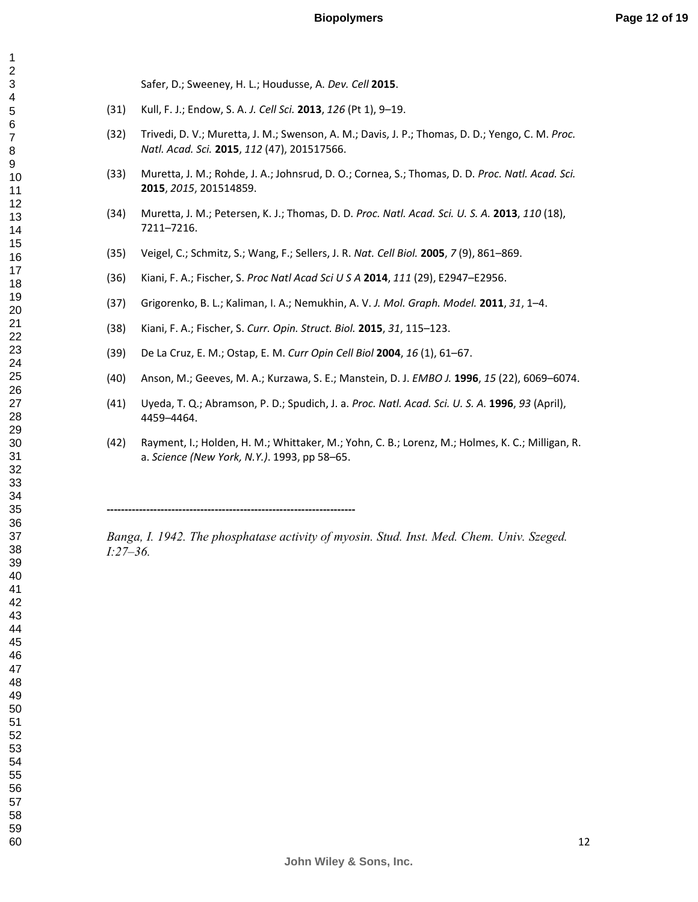Safer, D.; Sweeney, H. L.; Houdusse, A. *Dev. Cell* **2015**.

- (31) Kull, F. J.; Endow, S. A. *J. Cell Sci.* **2013**, *126* (Pt 1), 9–19.
- (32) Trivedi, D. V.; Muretta, J. M.; Swenson, A. M.; Davis, J. P.; Thomas, D. D.; Yengo, C. M. *Proc. Natl. Acad. Sci.* **2015**, *112* (47), 201517566.
- (33) Muretta, J. M.; Rohde, J. A.; Johnsrud, D. O.; Cornea, S.; Thomas, D. D. *Proc. Natl. Acad. Sci.* , *2015*, 201514859.
- (34) Muretta, J. M.; Petersen, K. J.; Thomas, D. D. *Proc. Natl. Acad. Sci. U. S. A.* **2013**, *110* (18), 7211–7216.
- (35) Veigel, C.; Schmitz, S.; Wang, F.; Sellers, J. R. *Nat. Cell Biol.* **2005**, *7* (9), 861–869.
- (36) Kiani, F. A.; Fischer, S. *Proc Natl Acad Sci U S A* **2014**, *111* (29), E2947–E2956.
- (37) Grigorenko, B. L.; Kaliman, I. A.; Nemukhin, A. V. *J. Mol. Graph. Model.* **2011**, *31*, 1–4.
- (38) Kiani, F. A.; Fischer, S. *Curr. Opin. Struct. Biol.* **2015**, *31*, 115–123.
- (39) De La Cruz, E. M.; Ostap, E. M. *Curr Opin Cell Biol* **2004**, *16* (1), 61–67.
- (40) Anson, M.; Geeves, M. A.; Kurzawa, S. E.; Manstein, D. J. *EMBO J.* **1996**, *15* (22), 6069–6074.
- (41) Uyeda, T. Q.; Abramson, P. D.; Spudich, J. a. *Proc. Natl. Acad. Sci. U. S. A.* **1996**, *93* (April), 4459–4464.
- (42) Rayment, I.; Holden, H. M.; Whittaker, M.; Yohn, C. B.; Lorenz, M.; Holmes, K. C.; Milligan, R. a. *Science (New York, N.Y.)*. 1993, pp 58–65.

Banga, I. 1942. The phosphatase activity of myosin. Stud. Inst. Med. Chem. Univ. Szeged. *I*:27–36.

**John Wiley & Sons, Inc.**

**---------------------------------------------------------------------**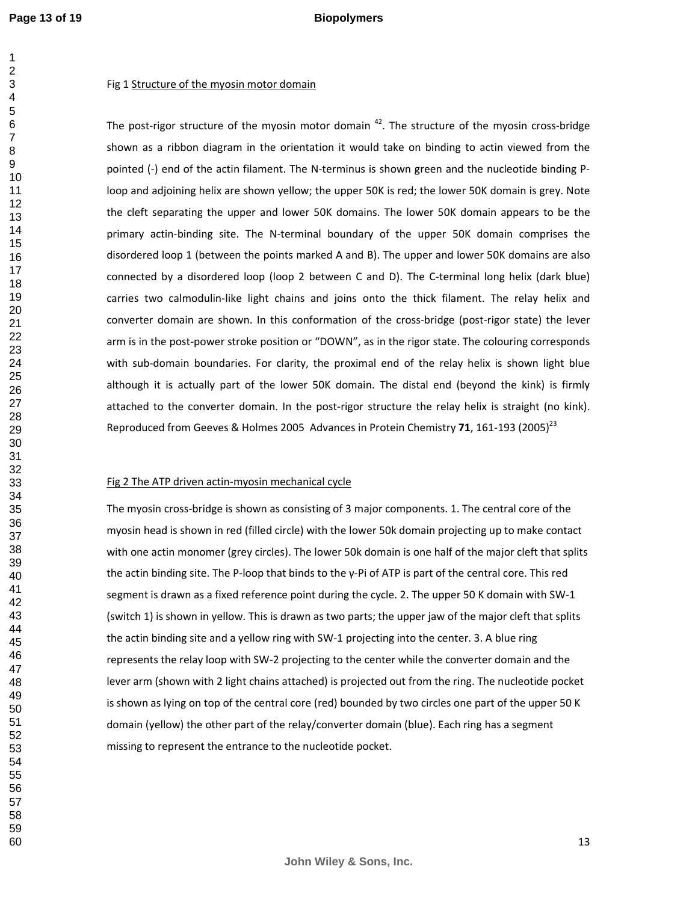#### **Biopolymers**

#### Fig 1 Structure of the myosin motor domain

The post-rigor structure of the myosin motor domain . The structure of the myosin cross-bridge shown as a ribbon diagram in the orientation it would take on binding to actin viewed from the pointed (-) end of the actin filament. The N-terminus is shown green and the nucleotide binding Ploop and adjoining helix are shown yellow; the upper 50K is red; the lower 50K domain is grey. Note the cleft separating the upper and lower 50K domains. The lower 50K domain appears to be the primary actin-binding site. The N-terminal boundary of the upper 50K domain comprises the disordered loop 1 (between the points marked A and B). The upper and lower 50K domains are also connected by a disordered loop (loop 2 between C and D). The C-terminal long helix (dark blue) carries two calmodulin-like light chains and joins onto the thick filament. The relay helix and converter domain are shown. In this conformation of the cross-bridge (post-rigor state) the lever arm is in the post-power stroke position or "DOWN", as in the rigor state. The colouring corresponds with sub-domain boundaries. For clarity, the proximal end of the relay helix is shown light blue although it is actually part of the lower 50K domain. The distal end (beyond the kink) is firmly attached to the converter domain. In the post-rigor structure the relay helix is straight (no kink). Reproduced from Geeves & Holmes 2005 Advances in Protein Chemistry 71, 161-193 (2005)<sup>23</sup>

#### Fig 2 The ATP driven actin-myosin mechanical cycle

The myosin cross-bridge is shown as consisting of 3 major components. 1. The central core of the myosin head is shown in red (filled circle) with the lower 50k domain projecting up to make contact with one actin monomer (grey circles). The lower 50k domain is one half of the major cleft that splits the actin binding site. The P-loop that binds to the  $\gamma$ -Pi of ATP is part of the central core. This red segment is drawn as a fixed reference point during the cycle. 2. The upper 50 K domain with SW-1 (switch 1) is shown in yellow. This is drawn as two parts; the upper jaw of the major cleft that splits the actin binding site and a yellow ring with SW-1 projecting into the center. 3. A blue ring represents the relay loop with SW-2 projecting to the center while the converter domain and the lever arm (shown with 2 light chains attached) is projected out from the ring. The nucleotide pocket is shown as lying on top of the central core (red) bounded by two circles one part of the upper 50 K domain (yellow) the other part of the relay/converter domain (blue). Each ring has a segment missing to represent the entrance to the nucleotide pocket.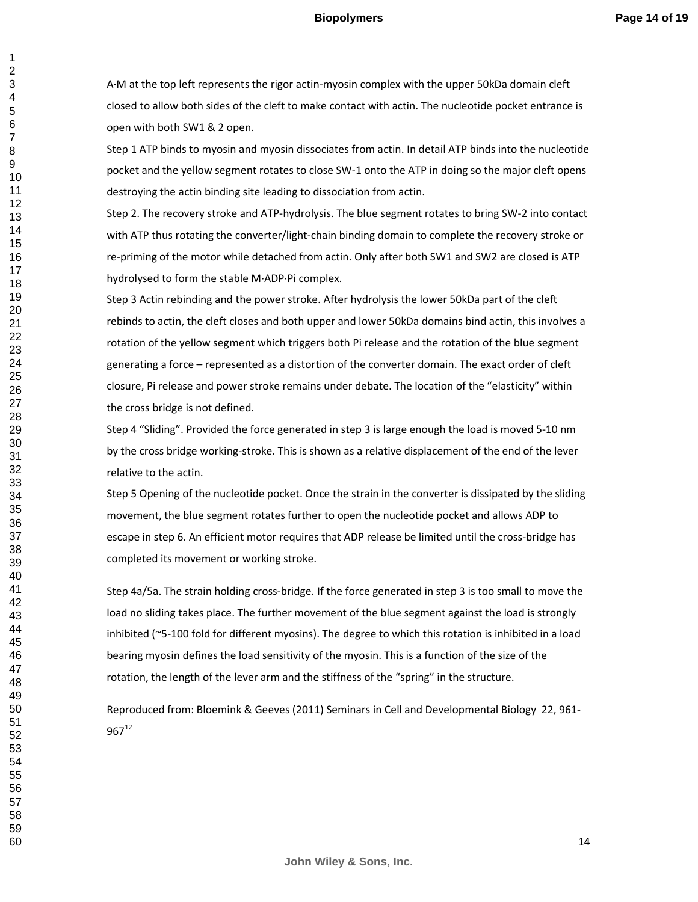A·M at the top left represents the rigor actin-myosin complex with the upper 50kDa domain cleft closed to allow both sides of the cleft to make contact with actin. The nucleotide pocket entrance is open with both SW1 & 2 open.

Step 1 ATP binds to myosin and myosin dissociates from actin. In detail ATP binds into the nucleotide pocket and the yellow segment rotates to close SW-1 onto the ATP in doing so the major cleft opens destroying the actin binding site leading to dissociation from actin.

Step 2. The recovery stroke and ATP-hydrolysis. The blue segment rotates to bring SW-2 into contact with ATP thus rotating the converter/light-chain binding domain to complete the recovery stroke or re-priming of the motor while detached from actin. Only after both SW1 and SW2 are closed is ATP hydrolysed to form the stable M·ADP·Pi complex.

Step 3 Actin rebinding and the power stroke. After hydrolysis the lower 50kDa part of the cleft rebinds to actin, the cleft closes and both upper and lower 50kDa domains bind actin, this involves a rotation of the yellow segment which triggers both Pi release and the rotation of the blue segment generating a force – represented as a distortion of the converter domain. The exact order of cleft closure, Pi release and power stroke remains under debate. The location of the "elasticity" within the cross bridge is not defined.

Step 4 "Sliding". Provided the force generated in step 3 is large enough the load is moved 5-10 nm by the cross bridge working-stroke. This is shown as a relative displacement of the end of the lever relative to the actin.

Step 5 Opening of the nucleotide pocket. Once the strain in the converter is dissipated by the sliding movement, the blue segment rotates further to open the nucleotide pocket and allows ADP to escape in step 6. An efficient motor requires that ADP release be limited until the cross-bridge has completed its movement or working stroke.

Step 4a/5a. The strain holding cross-bridge. If the force generated in step 3 is too small to move the load no sliding takes place. The further movement of the blue segment against the load is strongly inhibited (~5-100 fold for different myosins). The degree to which this rotation is inhibited in a load bearing myosin defines the load sensitivity of the myosin. This is a function of the size of the rotation, the length of the lever arm and the stiffness of the "spring" in the structure.

Reproduced from: Bloemink & Geeves (2011) Seminars in Cell and Developmental Biology 22, 961-  $967^{12}$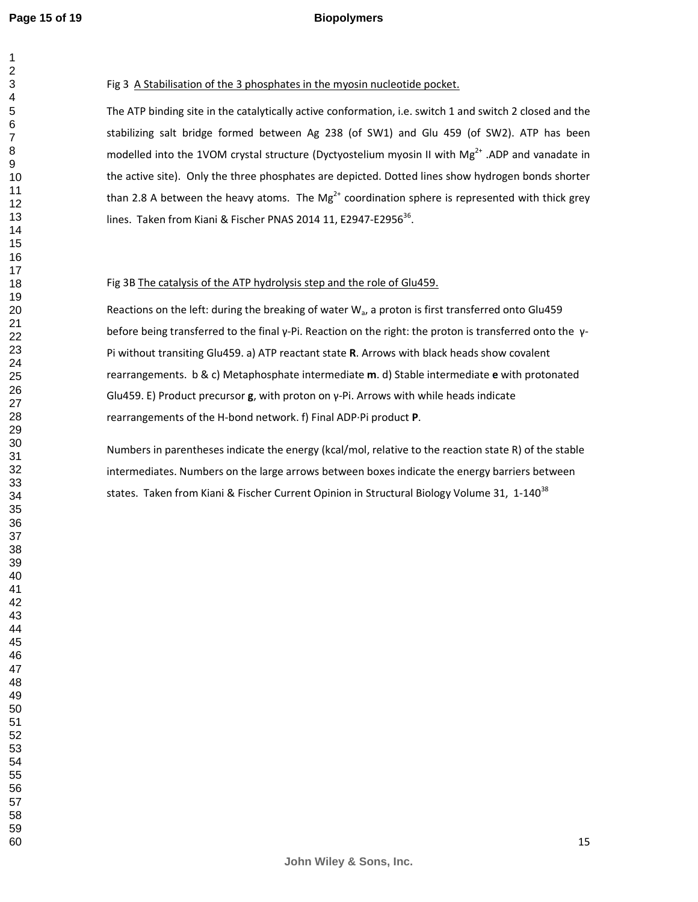#### **Biopolymers**

#### Fig 3 A Stabilisation of the 3 phosphates in the myosin nucleotide pocket.

The ATP binding site in the catalytically active conformation, i.e. switch 1 and switch 2 closed and the stabilizing salt bridge formed between Ag 238 (of SW1) and Glu 459 (of SW2). ATP has been modelled into the 1VOM crystal structure (Dyctyostelium myosin II with Mg<sup>2+</sup> .ADP and vanadate in the active site). Only the three phosphates are depicted. Dotted lines show hydrogen bonds shorter than 2.8 A between the heavy atoms. The Mg<sup>2+</sup> coordination sphere is represented with thick grey lines. Taken from Kiani & Fischer PNAS 2014 11, E2947-E2956 $^{36}$ .

#### Fig 3B The catalysis of the ATP hydrolysis step and the role of Glu459.

Reactions on the left: during the breaking of water  $W_a$ , a proton is first transferred onto Glu459 before being transferred to the final γ-Pi. Reaction on the right: the proton is transferred onto the γ-Pi without transiting Glu459. a) ATP reactant state **R**. Arrows with black heads show covalent rearrangements. b & c) Metaphosphate intermediate **m**. d) Stable intermediate **e** with protonated Glu459. E) Product precursor **g**, with proton on γ-Pi. Arrows with while heads indicate rearrangements of the H-bond network. f) Final ADP·Pi product **P**.

Numbers in parentheses indicate the energy (kcal/mol, relative to the reaction state R) of the stable intermediates. Numbers on the large arrows between boxes indicate the energy barriers between states. Taken from Kiani & Fischer Current Opinion in Structural Biology Volume 31, 1-140<sup>38</sup>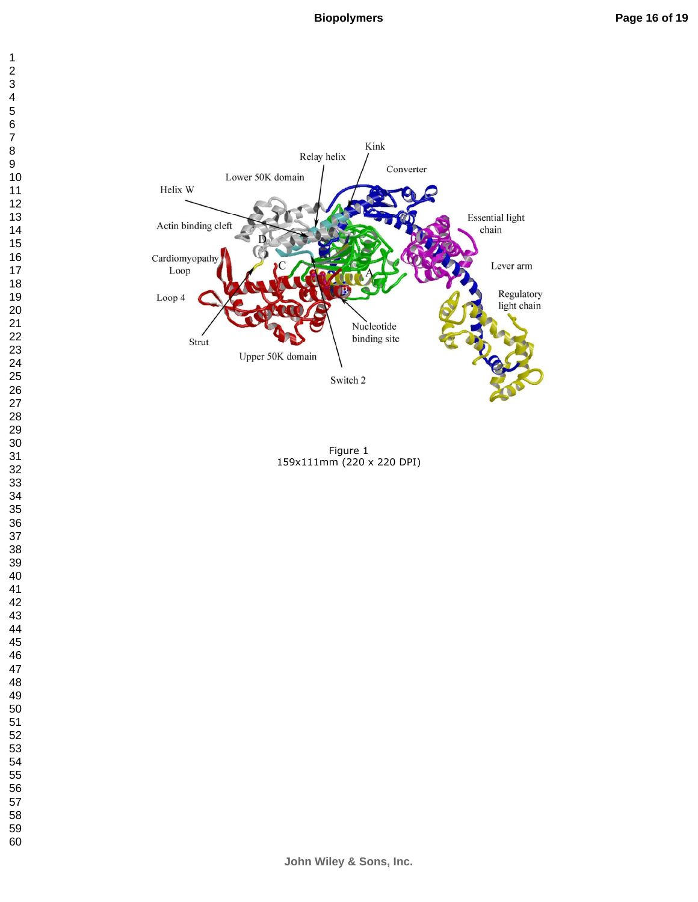



Figure 1 159x111mm (220 x 220 DPI)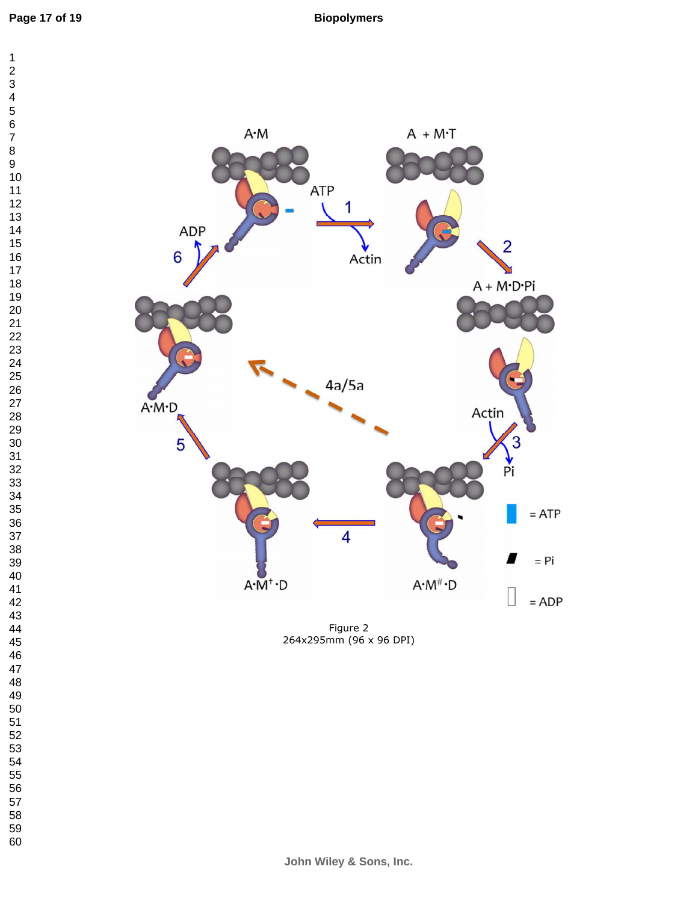

Figure 2 264x295mm (96 x 96 DPI)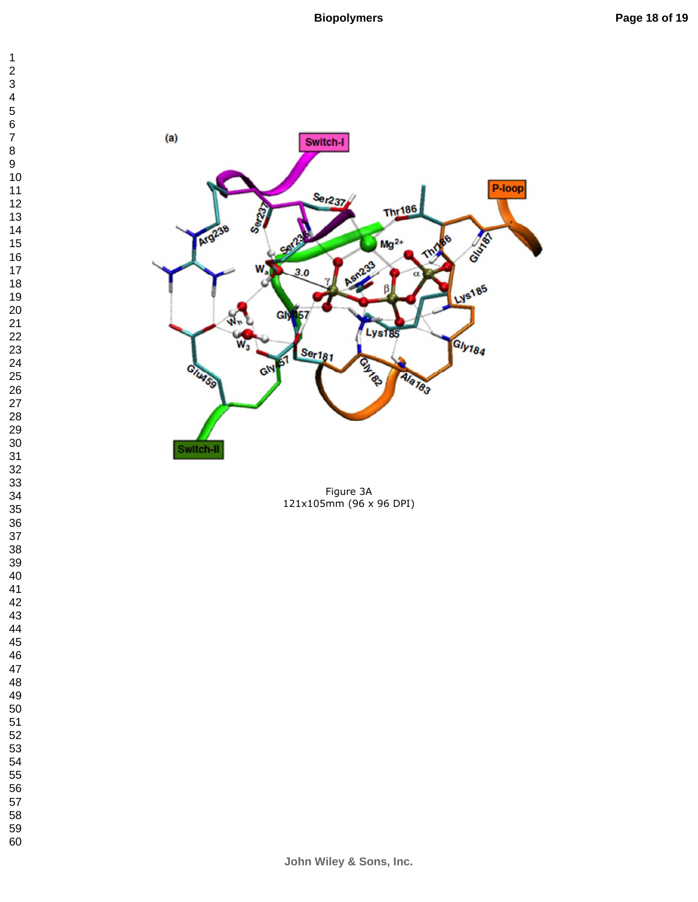



Figure 3A 121x105mm (96 x 96 DPI)